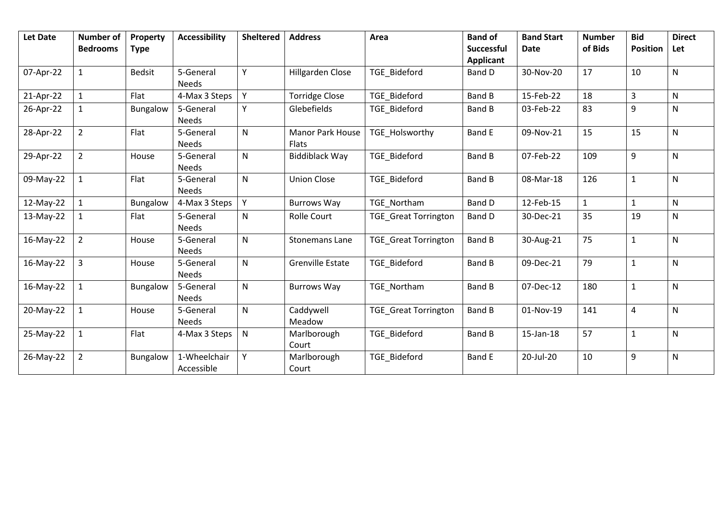| <b>Let Date</b> | <b>Number of</b><br><b>Bedrooms</b> | Property<br><b>Type</b> | <b>Accessibility</b>       | <b>Sheltered</b> | <b>Address</b>                   | Area                        | <b>Band of</b><br><b>Successful</b><br>Applicant | <b>Band Start</b><br><b>Date</b> | <b>Number</b><br>of Bids | <b>Bid</b><br><b>Position</b> | <b>Direct</b><br>Let |
|-----------------|-------------------------------------|-------------------------|----------------------------|------------------|----------------------------------|-----------------------------|--------------------------------------------------|----------------------------------|--------------------------|-------------------------------|----------------------|
| 07-Apr-22       | $\mathbf{1}$                        | <b>Bedsit</b>           | 5-General<br><b>Needs</b>  | Y                | Hillgarden Close                 | TGE_Bideford                | Band D                                           | 30-Nov-20                        | 17                       | 10                            | N                    |
| 21-Apr-22       | $\mathbf{1}$                        | Flat                    | 4-Max 3 Steps              | Y                | <b>Torridge Close</b>            | <b>TGE Bideford</b>         | Band B                                           | 15-Feb-22                        | 18                       | $\overline{3}$                | ${\sf N}$            |
| 26-Apr-22       | 1                                   | Bungalow                | 5-General<br><b>Needs</b>  | Y                | Glebefields                      | <b>TGE Bideford</b>         | Band B                                           | 03-Feb-22                        | 83                       | 9                             | N                    |
| 28-Apr-22       | $\overline{2}$                      | Flat                    | 5-General<br><b>Needs</b>  | $\mathsf{N}$     | <b>Manor Park House</b><br>Flats | TGE_Holsworthy              | <b>Band E</b>                                    | 09-Nov-21                        | 15                       | 15                            | $\mathsf{N}$         |
| 29-Apr-22       | $\overline{2}$                      | House                   | 5-General<br><b>Needs</b>  | $\mathsf{N}$     | <b>Biddiblack Way</b>            | <b>TGE Bideford</b>         | <b>Band B</b>                                    | 07-Feb-22                        | 109                      | 9                             | N                    |
| 09-May-22       | $\mathbf{1}$                        | Flat                    | 5-General<br><b>Needs</b>  | $\mathsf{N}$     | <b>Union Close</b>               | <b>TGE Bideford</b>         | Band B                                           | 08-Mar-18                        | 126                      | $\mathbf{1}$                  | N                    |
| 12-May-22       | $\mathbf{1}$                        | Bungalow                | 4-Max 3 Steps              | Y                | <b>Burrows Way</b>               | TGE Northam                 | Band D                                           | 12-Feb-15                        | $\mathbf{1}$             | $\mathbf{1}$                  | N                    |
| 13-May-22       |                                     | Flat                    | 5-General<br><b>Needs</b>  | $\mathsf{N}$     | <b>Rolle Court</b>               | <b>TGE</b> Great Torrington | Band D                                           | 30-Dec-21                        | 35                       | 19                            | N                    |
| 16-May-22       | $\overline{2}$                      | House                   | 5-General<br><b>Needs</b>  | N                | <b>Stonemans Lane</b>            | <b>TGE</b> Great Torrington | <b>Band B</b>                                    | 30-Aug-21                        | 75                       | 1                             | N                    |
| 16-May-22       | $\overline{3}$                      | House                   | 5-General<br><b>Needs</b>  | N                | <b>Grenville Estate</b>          | <b>TGE Bideford</b>         | Band B                                           | 09-Dec-21                        | 79                       | $\mathbf{1}$                  | N                    |
| 16-May-22       | $\mathbf{1}$                        | Bungalow                | 5-General<br><b>Needs</b>  | $\mathsf{N}$     | <b>Burrows Way</b>               | TGE Northam                 | <b>Band B</b>                                    | 07-Dec-12                        | 180                      | $\mathbf{1}$                  | $\mathsf{N}$         |
| 20-May-22       | $\mathbf{1}$                        | House                   | 5-General<br><b>Needs</b>  | N                | Caddywell<br>Meadow              | <b>TGE</b> Great Torrington | <b>Band B</b>                                    | 01-Nov-19                        | 141                      | $\overline{\mathbf{4}}$       | N                    |
| 25-May-22       | $\mathbf{1}$                        | Flat                    | 4-Max 3 Steps              | $\mathsf{N}$     | Marlborough<br>Court             | <b>TGE Bideford</b>         | <b>Band B</b>                                    | $15$ -Jan- $18$                  | 57                       | $\mathbf{1}$                  | N                    |
| 26-May-22       | $\overline{2}$                      | Bungalow                | 1-Wheelchair<br>Accessible | Y                | Marlborough<br>Court             | <b>TGE Bideford</b>         | <b>Band E</b>                                    | 20-Jul-20                        | 10                       | 9                             | $\mathsf{N}$         |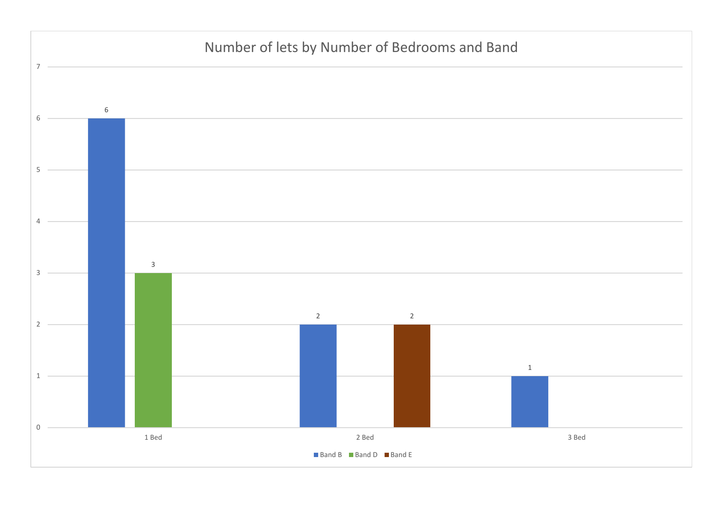